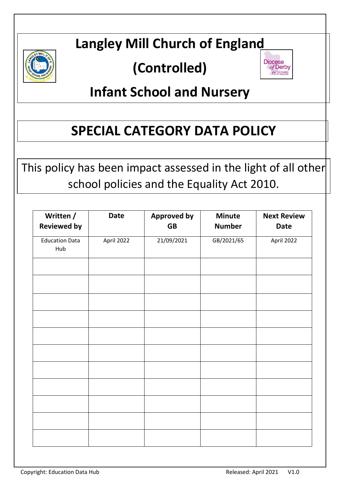

# **Langley Mill Church of England**

# **(Controlled)**



# **Infant School and Nursery**

# **SPECIAL CATEGORY DATA POLICY**

This policy has been impact assessed in the light of all other school policies and the Equality Act 2010.

| Written /                    | <b>Date</b> | <b>Approved by</b> | <b>Minute</b> | <b>Next Review</b> |
|------------------------------|-------------|--------------------|---------------|--------------------|
| <b>Reviewed by</b>           |             | <b>GB</b>          | <b>Number</b> | <b>Date</b>        |
| <b>Education Data</b><br>Hub | April 2022  | 21/09/2021         | GB/2021/65    | April 2022         |
|                              |             |                    |               |                    |
|                              |             |                    |               |                    |
|                              |             |                    |               |                    |
|                              |             |                    |               |                    |
|                              |             |                    |               |                    |
|                              |             |                    |               |                    |
|                              |             |                    |               |                    |
|                              |             |                    |               |                    |
|                              |             |                    |               |                    |
|                              |             |                    |               |                    |
|                              |             |                    |               |                    |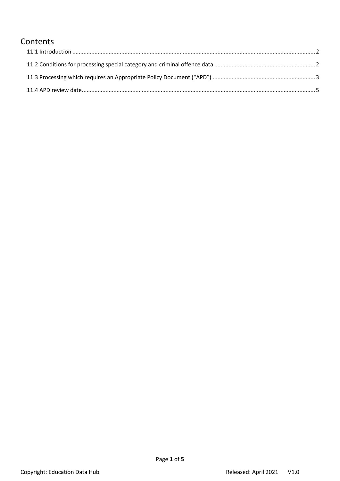# Contents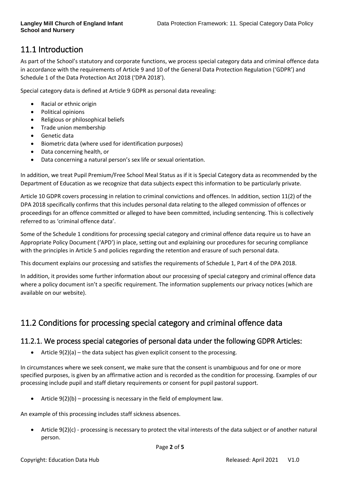# <span id="page-2-0"></span>11.1 Introduction

As part of the School's statutory and corporate functions, we process special category data and criminal offence data in accordance with the requirements of Article 9 and 10 of the General Data Protection Regulation ('GDPR') and Schedule 1 of the Data Protection Act 2018 ('DPA 2018').

Special category data is defined at Article 9 GDPR as personal data revealing:

- Racial or ethnic origin
- Political opinions
- Religious or philosophical beliefs
- Trade union membership
- Genetic data
- Biometric data (where used for identification purposes)
- Data concerning health, or
- Data concerning a natural person's sex life or sexual orientation.

In addition, we treat Pupil Premium/Free School Meal Status as if it is Special Category data as recommended by the Department of Education as we recognize that data subjects expect this information to be particularly private.

Article 10 GDPR covers processing in relation to criminal convictions and offences. In addition, section 11(2) of the DPA 2018 specifically confirms that this includes personal data relating to the alleged commission of offences or proceedings for an offence committed or alleged to have been committed, including sentencing. This is collectively referred to as 'criminal offence data'.

Some of the Schedule 1 conditions for processing special category and criminal offence data require us to have an Appropriate Policy Document ('APD') in place, setting out and explaining our procedures for securing compliance with the principles in Article 5 and policies regarding the retention and erasure of such personal data.

This document explains our processing and satisfies the requirements of Schedule 1, Part 4 of the DPA 2018.

In addition, it provides some further information about our processing of special category and criminal offence data where a policy document isn't a specific requirement. The information supplements our privacy notices (which are available on our website).

# <span id="page-2-1"></span>11.2 Conditions for processing special category and criminal offence data

## 11.2.1. We process special categories of personal data under the following GDPR Articles:

Article  $9(2)(a)$  – the data subject has given explicit consent to the processing.

In circumstances where we seek consent, we make sure that the consent is unambiguous and for one or more specified purposes, is given by an affirmative action and is recorded as the condition for processing. Examples of our processing include pupil and staff dietary requirements or consent for pupil pastoral support.

• Article  $9(2)(b)$  – processing is necessary in the field of employment law.

An example of this processing includes staff sickness absences.

• Article 9(2)(c) - processing is necessary to protect the vital interests of the data subject or of another natural person.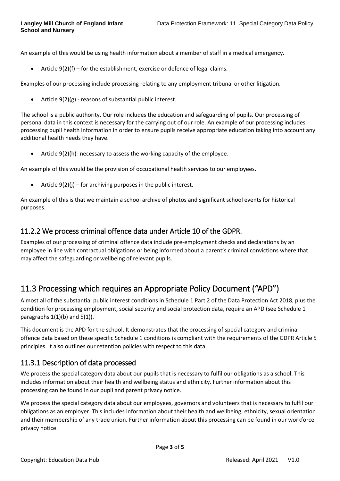.

An example of this would be using health information about a member of staff in a medical emergency.

• Article  $9(2)(f)$  – for the establishment, exercise or defence of legal claims.

Examples of our processing include processing relating to any employment tribunal or other litigation.

• Article 9(2)(g) - reasons of substantial public interest.

The school is a public authority. Our role includes the education and safeguarding of pupils. Our processing of personal data in this context is necessary for the carrying out of our role. An example of our processing includes processing pupil health information in order to ensure pupils receive appropriate education taking into account any additional health needs they have.

• Article 9(2)(h)- necessary to assess the working capacity of the employee.

An example of this would be the provision of occupational health services to our employees.

• Article  $9(2)(j)$  – for archiving purposes in the public interest.

An example of this is that we maintain a school archive of photos and significant school events for historical purposes.

### 11.2.2 We process criminal offence data under Article 10 of the GDPR.

Examples of our processing of criminal offence data include pre-employment checks and declarations by an employee in line with contractual obligations or being informed about a parent's criminal convictions where that may affect the safeguarding or wellbeing of relevant pupils.

## <span id="page-3-0"></span>11.3 Processing which requires an Appropriate Policy Document ("APD")

Almost all of the substantial public interest conditions in Schedule 1 Part 2 of the Data Protection Act 2018, plus the condition for processing employment, social security and social protection data, require an APD (see Schedule 1 paragraphs  $1(1)(b)$  and  $5(1)$ ).

This document is the APD for the school. It demonstrates that the processing of special category and criminal offence data based on these specific Schedule 1 conditions is compliant with the requirements of the GDPR Article 5 principles. It also outlines our retention policies with respect to this data.

### 11.3.1 Description of data processed

We process the special category data about our pupils that is necessary to fulfil our obligations as a school. This includes information about their health and wellbeing status and ethnicity. Further information about this processing can be found in our pupil and parent privacy notice.

We process the special category data about our employees, governors and volunteers that is necessary to fulfil our obligations as an employer. This includes information about their health and wellbeing, ethnicity, sexual orientation and their membership of any trade union. Further information about this processing can be found in our workforce privacy notice.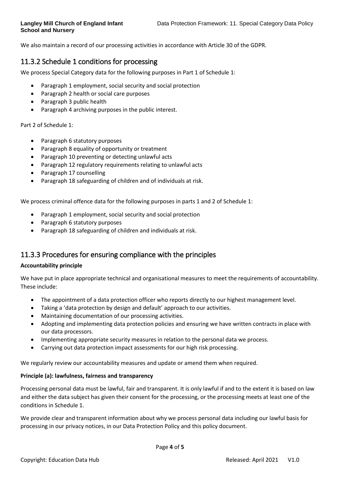We also maintain a record of our processing activities in accordance with Article 30 of the GDPR.

## 11.3.2 Schedule 1 conditions for processing

We process Special Category data for the following purposes in Part 1 of Schedule 1:

- Paragraph 1 employment, social security and social protection
- Paragraph 2 health or social care purposes
- Paragraph 3 public health
- Paragraph 4 archiving purposes in the public interest.

Part 2 of Schedule 1:

- Paragraph 6 statutory purposes
- Paragraph 8 equality of opportunity or treatment
- Paragraph 10 preventing or detecting unlawful acts
- Paragraph 12 regulatory requirements relating to unlawful acts
- Paragraph 17 counselling
- Paragraph 18 safeguarding of children and of individuals at risk.

We process criminal offence data for the following purposes in parts 1 and 2 of Schedule 1:

- Paragraph 1 employment, social security and social protection
- Paragraph 6 statutory purposes
- Paragraph 18 safeguarding of children and individuals at risk.

### 11.3.3 Procedures for ensuring compliance with the principles

#### **Accountability principle**

We have put in place appropriate technical and organisational measures to meet the requirements of accountability. These include:

- The appointment of a data protection officer who reports directly to our highest management level.
- Taking a 'data protection by design and default' approach to our activities.
- Maintaining documentation of our processing activities.
- Adopting and implementing data protection policies and ensuring we have written contracts in place with our data processors.
- Implementing appropriate security measures in relation to the personal data we process.
- Carrying out data protection impact assessments for our high risk processing.

We regularly review our accountability measures and update or amend them when required.

#### **Principle (a): lawfulness, fairness and transparency**

Processing personal data must be lawful, fair and transparent. It is only lawful if and to the extent it is based on law and either the data subject has given their consent for the processing, or the processing meets at least one of the conditions in Schedule 1.

We provide clear and transparent information about why we process personal data including our lawful basis for processing in our privacy notices, in our Data Protection Policy and this policy document.